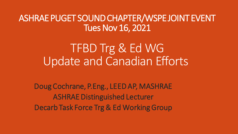ASHRAE PUGET SOUND CHAPTER/WSPE JOINT EVENT Tues Nov 16, 2021

> TFBD Trg & Ed WG Update and Canadian Efforts

Doug Cochrane, P.Eng., LEED AP, MASHRAE ASHRAE Distinguished Lecturer Decarb Task Force Trg & Ed Working Group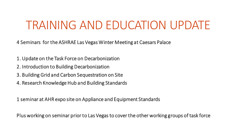# TRAINING AND EDUCATION UPDATE

4 Seminars for the ASHRAE Las Vegas Winter Meeting at Caesars Palace

- 1. Update on the Task Force on Decarbonization
- 2. Introduction to Building Decarbonization
- 3. Building Grid and Carbon Sequestration on Site
- 4. Research Knowledge Hub and Building Standards

1 seminar at AHR expo site on Appliance and Equipment Standards

Plus working on seminar prior to Las Vegas to cover the other working groups of task force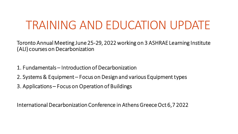# TRAINING AND EDUCATION UPDATE

Toronto Annual Meeting June 25-29, 2022 working on 3 ASHRAE Learning Institute (ALI) courses on Decarbonization

- 1. Fundamentals Introduction of Decarbonization
- 2. Systems & Equipment Focus on Design and various Equipment types
- 3. Applications Focus on Operation of Buildings

International Decarbonization Conference in Athens Greece Oct 6,7 2022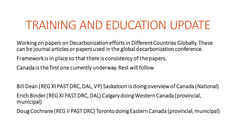# TRAINING AND EDUCATION UPDATE

Working on papers on Decarbonization efforts in Different Countries Globally. These can be journal articles or papers used in the global decarbonization conference.

Framework is in place so that there is consistency of the papers.

Canada is the first one currently underway. Restwill follow

Bill Dean (REG XI PAST DRC, DAL, VP) Saskatoon is doing overview of Canada (National) Erich Binder (REG XI PAST DRC, DAL) Calgary doing Western Canada (provincial, municipal)

Doug Cochrane (REG II PAST DRC) Toronto doing Eastern Canada (provincial, municipal)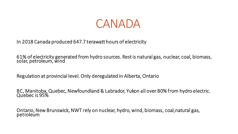

In 2018 Canada produced 647.7 terawatt hours of electricity

61% of electricity generated from hydro sources. Rest is natural gas, nuclear, coal, biomass, solar, petroleum, wind

Regulation at provincial level. Only deregulated in Alberta, Ontario

BC, Manitoba, Quebec, Newfoundland & Labrador, Yukon all over 80% from hydro electric. Quebec is 95%

Ontario, New Brunswick, NWT rely on nuclear, hydro, wind, biomass, coal,natural gas, petroleum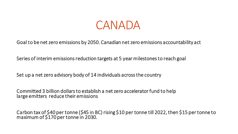

Goal to be net zero emissions by 2050. Canadian net zero emissions accountability act

Series of interim emissions reduction targets at 5 year milestones to reach goal

Set up a net zero advisory body of 14 individuals across the country

Committed 3 billion dollars to establish a net zero accelerator fund to help large emitters reduce their emissions

Carbon tax of \$40 per tonne (\$45 in BC) rising \$10 per tonne till 2022, then \$15 per tonne to maximum of \$170 per tonne in 2030.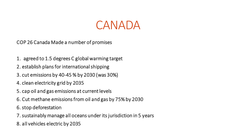

COP 26 Canada Made a number of promises

- 1. agreed to 1.5 degrees C global warming target
- 2. establish plans for international shipping
- 3. cut emissions by 40-45 % by 2030 (was 30%)
- 4. clean electricity grid by 2035
- 5. cap oil and gas emissions at current levels
- 6. Cut methane emissions from oil and gas by 75% by 2030
- 6. stop deforestation
- 7. sustainably manage all oceans under its jurisdiction in 5 years
- 8. all vehicles electric by 2035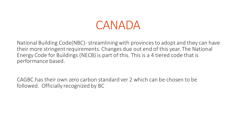#### CANADA

National Building Code(NBC)-streamlining with provinces to adopt and they can have their more stringent requirements. Changes due out end of this year. The National Energy Code for Buildings (NECB) is part of this. This is a 4 tiered code that is performance based.

CAGBC has their own zero carbon standard ver 2 which can be chosen to be followed. Officially recognized by BC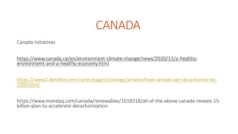

Canada Initiatives

[https://www.canada.ca/en/environment-climate-change/news/2020/12/a-healthy](https://www.canada.ca/en/environment-climate-change/news/2020/12/a-healthy-environment-and-a-healthy-economy.html)environment-and-a-healthy-economy.html

[https://www2.deloitte.com/ca/en/pages/strategy/articles/how-canada-can-decarbonize-by-](https://www2.deloitte.com/ca/en/pages/strategy/articles/how-canada-can-decarbonize-by-2050.html)2050.html

https://www.mondaq.com/canada/renewables/1018318/all-of-the-above-canada-reveals-15 billion-plan-to-accelerate-decarbonization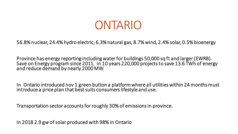#### ONTARIO

56.8% nuclear, 24.4% hydro electric, 6.3% natural gas, 8.7% wind, 2.4% solar, 0.5% bioenergy

Province has energy reporting including water for buildings 50,000 sq ft and larger (EWRB). Save on Energy program since 2011. In 10 years 220,000 projects to save 13.6 TWh of energy and reduce demand by nearly 2000 MW.

In Ontario introduced nov 1 green button a platform where all utilities within 24 months must introduce a price plan that best suits consumers lifestyle and use.

Transportation sector accounts for roughly 30% of emissions in province.

In 2018 2.9 gwof solar produced with 98% in Ontario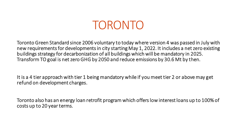## TORONTO

Toronto Green Standard since 2006 voluntary to today where version 4 was passed in July with new requirements for developments in city starting May 1, 2022. It includes a net zero existing buildings strategy for decarbonization of all buildings which will be mandatory in 2025. Transform TO goal is net zero GHG by 2050 and reduce emissions by 30.6 Mt by then.

It is a 4 tier approach with tier 1 being mandatory while if you meet tier 2 or above may get refund on development charges.

Toronto also has an energy loan retrofit program which offers low interest loans up to 100% of costs up to 20 year terms.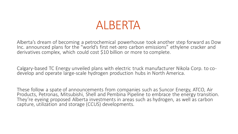#### ALBERTA

Alberta's dream of becoming a petrochemical powerhouse took another step forward as Dow Inc. announced plans for the "world's first net-zero carbon emissions" ethylene cracker and derivatives complex, which could cost \$10 billion or more to complete.

Calgary-based TC Energy unveiled plans with electric truck manufacturer Nikola Corp. to codevelop and operate large-scale hydrogen production hubs in North America.

These follow a spate of announcements from companies such as Suncor Energy, ATCO, Air Products, Petronas, Mitsubishi, Shell and Pembina Pipeline to embrace the energy transition. They're eyeing proposed Alberta investments in areas such as hydrogen, as well as carbon capture, utilization and storage (CCUS) developments.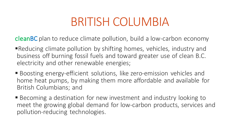# BRITISH COLUMBIA

cleanBC plan to reduce climate pollution, build a low-carbon economy

- ■Reducing climate pollution by shifting homes, vehicles, industry and business off burning fossil fuels and toward greater use of clean B.C. electricity and other renewable energies;
- Boosting energy-efficient solutions, like zero-emission vehicles and home heat pumps, by making them more affordable and available for British Columbians; and
- Becoming a destination for new investment and industry looking to meet the growing global demand for low-carbon products, services and pollution-reducing technologies.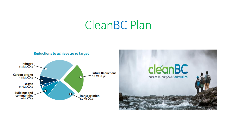#### CleanBC Plan

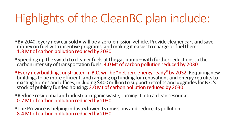# Highlights of the CleanBC plan include:

■By 2040, every new car sold = will be a zero-emission vehicle. Provide cleaner cars and save money on fuel with incentive programs, and making it easier to charge or fuel them: 1.3 Mt of carbon pollution reduced by 2030

▪Speeding up the switch to cleaner fuels at the gas pump – with further reductions to the carbon intensity of transportation fuels: 4.0 Mt of carbon pollution reduced by 2030

**Every new building constructed in B.C. will be "net-zero energy ready" by 2032. Requiring new** buildings to be more efficient, and ramping up funding for renovations and energy retrofits to existing homes and offices, including \$400 million to support retrofits and upgrades for B.C.'s stock of publicly funded housing: 2.0 Mt of carbon pollution reduced by 2030

■Reduce residential and industrial organic waste, turning it into a clean resource: 0.7 Mt of carbon pollution reduced by 2030

**The Province is helping industry lower its emissions and reduce its pollution:** 8.4 Mt of carbon pollution reduced by 2030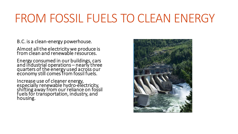# FROM FOSSIL FUELS TO CLEAN ENERGY

B.C. is a clean-energy powerhouse.

Almost all the electricity we produce is from clean and renewable resources.

Energy consumed in our buildings, cars and industrial operations – nearly three quarters of the energy used across our economy still comes from fossil fuels.

Increase use of cleaner energy, especially renewable hydro-electricity, shifting away from our reliance on fossil fuels for transportation, industry, and housing.

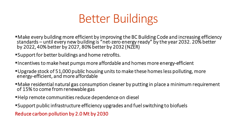

- · Make every building more efficient by improving the BC Building Code and increasing efficiency standards – until every new building is "net-zero energy ready" by the year 2032. 20% better by 2022, 40% better by 2027, 80% better by 2032 (NZER)
- ▪Support for better buildings and home retrofits.
- **Incentives to make heat pumps more affordable and homes more energy-efficient**
- ▪Upgrade stock of 51,000 public housing units to make these homes less polluting, more energy-efficient, and more affordable
- ■Make residential natural gas consumption cleaner by putting in place a minimum requirement of 15% to come from renewable gas
- **Help remote communities reduce dependence on diesel**
- ▪Support public infrastructure efficiency upgrades and fuel switching to biofuels

Reduce carbon pollution by 2.0 Mt by 2030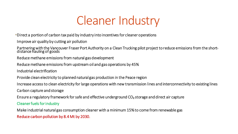# Cleaner Industry

**EDirect a portion of carbon tax paid by industry into incentives for cleaner operations** 

Improve air quality by cutting air pollution

Partnering with the Vancouver Fraser Port Authority on a Clean Trucking pilot project to reduce emissions from the shortdistance hauling of goods

Reduce methane emissions from natural gas development

Reduce methane emissions from upstream oil and gas operations by 45%

Industrial electrification

Provide clean electricity to planned natural gas production in the Peace region

Increase access to clean electricity for large operations with new transmission lines and interconnectivity to existing lines

Carbon capture and storage

Ensure a regulatory framework for safe and effective underground CO₂ storage and direct air capture

Cleaner fuels for industry

Make industrial natural gas consumption cleaner with a minimum 15% to come from renewable gas Reduce carbon pollution by 8.4 Mt by 2030.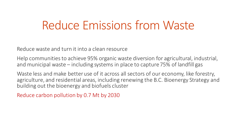#### Reduce Emissions from Waste

Reduce waste and turn it into a clean resource

Help communities to achieve 95% organic waste diversion for agricultural, industrial, and municipal waste – including systems in place to capture 75% of landfill gas

Waste less and make better use of it across all sectors of our economy, like forestry, agriculture, and residential areas, including renewing the B.C. Bioenergy Strategy and building out the bioenergy and biofuels cluster

Reduce carbon pollution by 0.7 Mt by 2030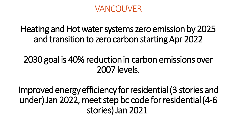#### VANCOUVER

Heating and Hot water systems zero emission by 2025 and transition to zero carbon starting Apr 2022

2030 goal is 40% reduction in carbon emissions over 2007 levels.

Improved energy efficiency for residential (3 stories and under) Jan 2022, meet step bc code for residential (4-6 stories) Jan 2021